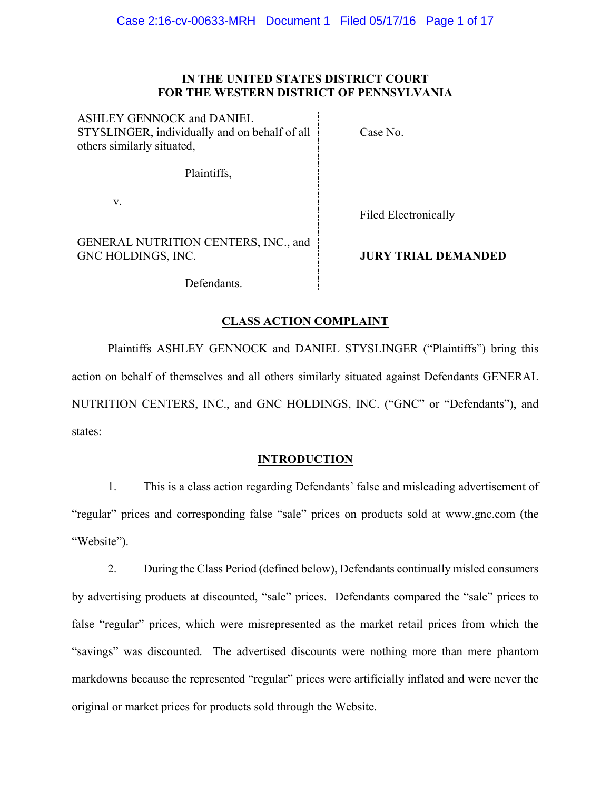## **IN THE UNITED STATES DISTRICT COURT FOR THE WESTERN DISTRICT OF PENNSYLVANIA**

| <b>ASHLEY GENNOCK and DANIEL</b><br>STYSLINGER, individually and on behalf of all<br>others similarly situated, | Case No.                    |
|-----------------------------------------------------------------------------------------------------------------|-----------------------------|
| Plaintiffs,                                                                                                     |                             |
| V.                                                                                                              | <b>Filed Electronically</b> |
| GENERAL NUTRITION CENTERS, INC., and<br>GNC HOLDINGS, INC.                                                      | <b>JURY TRIAL DEMANDED</b>  |
| Defendants.                                                                                                     |                             |

Defendants.

# **CLASS ACTION COMPLAINT**

Plaintiffs ASHLEY GENNOCK and DANIEL STYSLINGER ("Plaintiffs") bring this action on behalf of themselves and all others similarly situated against Defendants GENERAL NUTRITION CENTERS, INC., and GNC HOLDINGS, INC. ("GNC" or "Defendants"), and states:

## **INTRODUCTION**

1. This is a class action regarding Defendants' false and misleading advertisement of "regular" prices and corresponding false "sale" prices on products sold at www.gnc.com (the "Website").

2. During the Class Period (defined below), Defendants continually misled consumers by advertising products at discounted, "sale" prices. Defendants compared the "sale" prices to false "regular" prices, which were misrepresented as the market retail prices from which the "savings" was discounted. The advertised discounts were nothing more than mere phantom markdowns because the represented "regular" prices were artificially inflated and were never the original or market prices for products sold through the Website.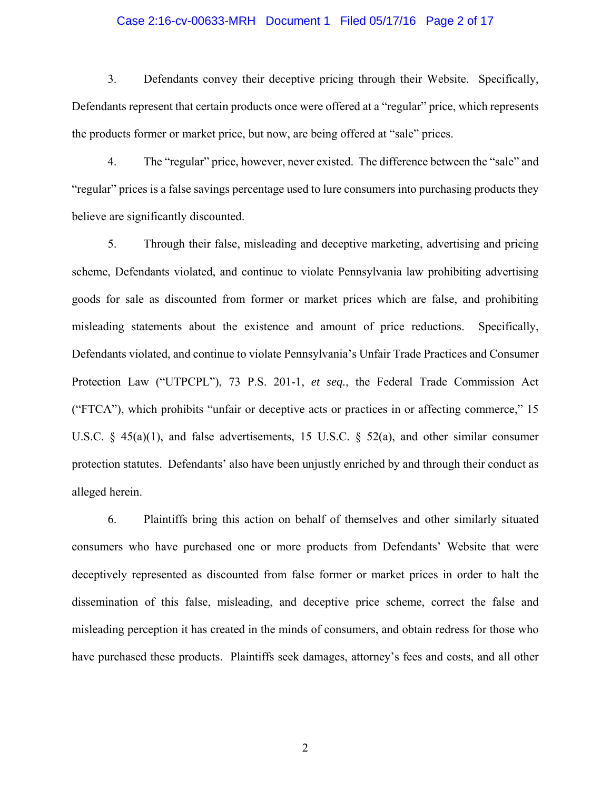#### Case 2:16-cv-00633-MRH Document 1 Filed 05/17/16 Page 2 of 17

3. Defendants convey their deceptive pricing through their Website. Specifically, Defendants represent that certain products once were offered at a "regular" price, which represents the products former or market price, but now, are being offered at "sale" prices.

4. The "regular" price, however, never existed. The difference between the "sale" and "regular" prices is a false savings percentage used to lure consumers into purchasing products they believe are significantly discounted.

5. Through their false, misleading and deceptive marketing, advertising and pricing scheme, Defendants violated, and continue to violate Pennsylvania law prohibiting advertising goods for sale as discounted from former or market prices which are false, and prohibiting misleading statements about the existence and amount of price reductions. Specifically, Defendants violated, and continue to violate Pennsylvania's Unfair Trade Practices and Consumer Protection Law ("UTPCPL"), 73 P.S. 201-1, *et seq.*, the Federal Trade Commission Act ("FTCA"), which prohibits "unfair or deceptive acts or practices in or affecting commerce," 15 U.S.C. § 45(a)(1), and false advertisements, 15 U.S.C. § 52(a), and other similar consumer protection statutes. Defendants' also have been unjustly enriched by and through their conduct as alleged herein.

6. Plaintiffs bring this action on behalf of themselves and other similarly situated consumers who have purchased one or more products from Defendants' Website that were deceptively represented as discounted from false former or market prices in order to halt the dissemination of this false, misleading, and deceptive price scheme, correct the false and misleading perception it has created in the minds of consumers, and obtain redress for those who have purchased these products. Plaintiffs seek damages, attorney's fees and costs, and all other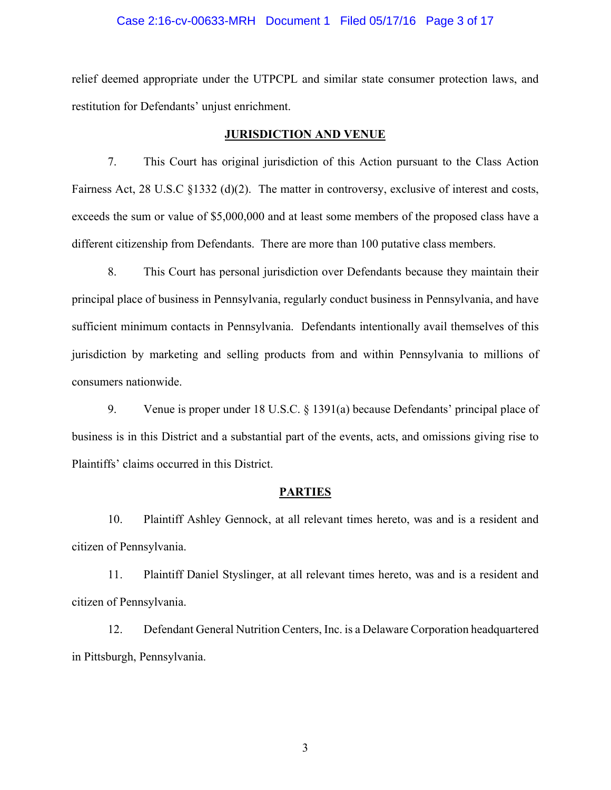#### Case 2:16-cv-00633-MRH Document 1 Filed 05/17/16 Page 3 of 17

relief deemed appropriate under the UTPCPL and similar state consumer protection laws, and restitution for Defendants' unjust enrichment.

### **JURISDICTION AND VENUE**

7. This Court has original jurisdiction of this Action pursuant to the Class Action Fairness Act, 28 U.S.C §1332 (d)(2). The matter in controversy, exclusive of interest and costs, exceeds the sum or value of \$5,000,000 and at least some members of the proposed class have a different citizenship from Defendants. There are more than 100 putative class members.

8. This Court has personal jurisdiction over Defendants because they maintain their principal place of business in Pennsylvania, regularly conduct business in Pennsylvania, and have sufficient minimum contacts in Pennsylvania. Defendants intentionally avail themselves of this jurisdiction by marketing and selling products from and within Pennsylvania to millions of consumers nationwide.

9. Venue is proper under 18 U.S.C. § 1391(a) because Defendants' principal place of business is in this District and a substantial part of the events, acts, and omissions giving rise to Plaintiffs' claims occurred in this District.

#### **PARTIES**

10. Plaintiff Ashley Gennock, at all relevant times hereto, was and is a resident and citizen of Pennsylvania.

11. Plaintiff Daniel Styslinger, at all relevant times hereto, was and is a resident and citizen of Pennsylvania.

12. Defendant General Nutrition Centers, Inc. is a Delaware Corporation headquartered in Pittsburgh, Pennsylvania.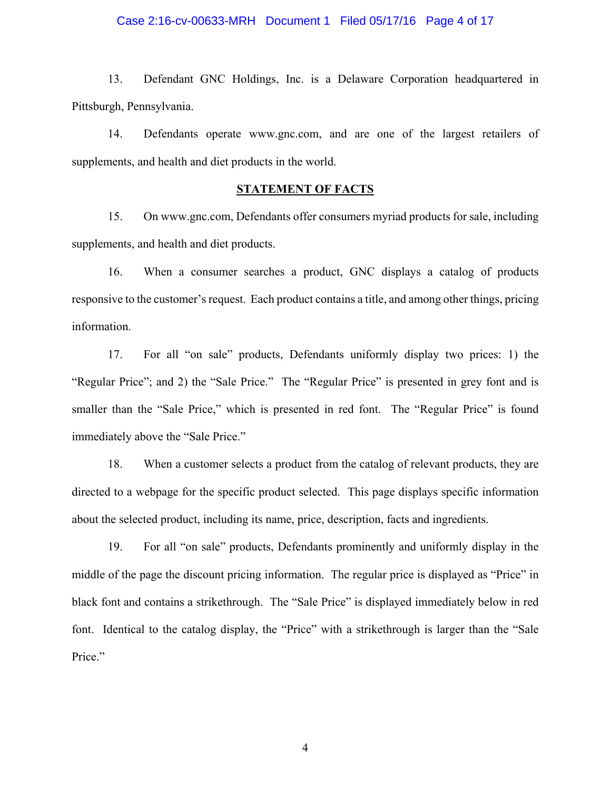#### Case 2:16-cv-00633-MRH Document 1 Filed 05/17/16 Page 4 of 17

13. Defendant GNC Holdings, Inc. is a Delaware Corporation headquartered in Pittsburgh, Pennsylvania.

14. Defendants operate www.gnc.com, and are one of the largest retailers of supplements, and health and diet products in the world.

## **STATEMENT OF FACTS**

15. On www.gnc.com, Defendants offer consumers myriad products for sale, including supplements, and health and diet products.

16. When a consumer searches a product, GNC displays a catalog of products responsive to the customer's request. Each product contains a title, and among other things, pricing information.

17. For all "on sale" products, Defendants uniformly display two prices: 1) the "Regular Price"; and 2) the "Sale Price." The "Regular Price" is presented in grey font and is smaller than the "Sale Price," which is presented in red font. The "Regular Price" is found immediately above the "Sale Price."

18. When a customer selects a product from the catalog of relevant products, they are directed to a webpage for the specific product selected. This page displays specific information about the selected product, including its name, price, description, facts and ingredients.

19. For all "on sale" products, Defendants prominently and uniformly display in the middle of the page the discount pricing information. The regular price is displayed as "Price" in black font and contains a strikethrough. The "Sale Price" is displayed immediately below in red font. Identical to the catalog display, the "Price" with a strikethrough is larger than the "Sale Price."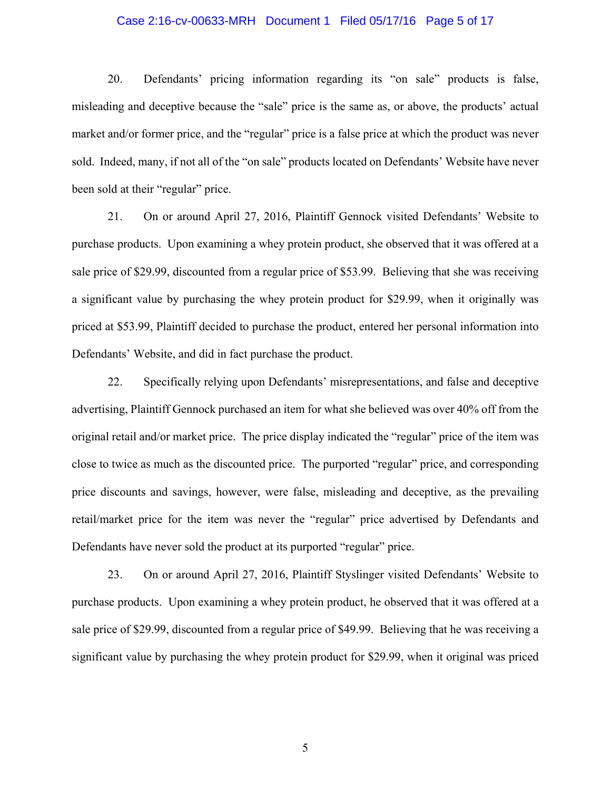#### Case 2:16-cv-00633-MRH Document 1 Filed 05/17/16 Page 5 of 17

20. Defendants' pricing information regarding its "on sale" products is false, misleading and deceptive because the "sale" price is the same as, or above, the products' actual market and/or former price, and the "regular" price is a false price at which the product was never sold. Indeed, many, if not all of the "on sale" products located on Defendants' Website have never been sold at their "regular" price.

21. On or around April 27, 2016, Plaintiff Gennock visited Defendants' Website to purchase products. Upon examining a whey protein product, she observed that it was offered at a sale price of \$29.99, discounted from a regular price of \$53.99. Believing that she was receiving a significant value by purchasing the whey protein product for \$29.99, when it originally was priced at \$53.99, Plaintiff decided to purchase the product, entered her personal information into Defendants' Website, and did in fact purchase the product.

22. Specifically relying upon Defendants' misrepresentations, and false and deceptive advertising, Plaintiff Gennock purchased an item for what she believed was over 40% off from the original retail and/or market price. The price display indicated the "regular" price of the item was close to twice as much as the discounted price. The purported "regular" price, and corresponding price discounts and savings, however, were false, misleading and deceptive, as the prevailing retail/market price for the item was never the "regular" price advertised by Defendants and Defendants have never sold the product at its purported "regular" price.

23. On or around April 27, 2016, Plaintiff Styslinger visited Defendants' Website to purchase products. Upon examining a whey protein product, he observed that it was offered at a sale price of \$29.99, discounted from a regular price of \$49.99. Believing that he was receiving a significant value by purchasing the whey protein product for \$29.99, when it original was priced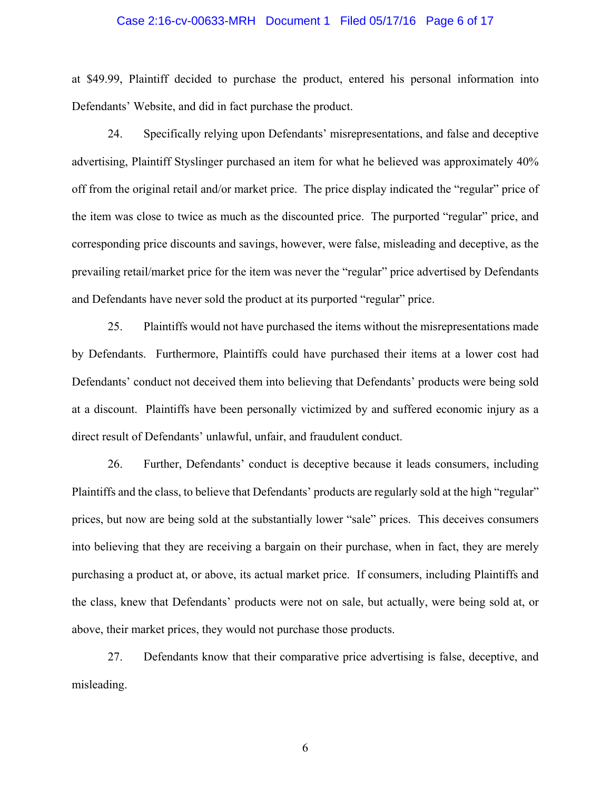#### Case 2:16-cv-00633-MRH Document 1 Filed 05/17/16 Page 6 of 17

at \$49.99, Plaintiff decided to purchase the product, entered his personal information into Defendants' Website, and did in fact purchase the product.

24. Specifically relying upon Defendants' misrepresentations, and false and deceptive advertising, Plaintiff Styslinger purchased an item for what he believed was approximately 40% off from the original retail and/or market price. The price display indicated the "regular" price of the item was close to twice as much as the discounted price. The purported "regular" price, and corresponding price discounts and savings, however, were false, misleading and deceptive, as the prevailing retail/market price for the item was never the "regular" price advertised by Defendants and Defendants have never sold the product at its purported "regular" price.

25. Plaintiffs would not have purchased the items without the misrepresentations made by Defendants. Furthermore, Plaintiffs could have purchased their items at a lower cost had Defendants' conduct not deceived them into believing that Defendants' products were being sold at a discount. Plaintiffs have been personally victimized by and suffered economic injury as a direct result of Defendants' unlawful, unfair, and fraudulent conduct.

26. Further, Defendants' conduct is deceptive because it leads consumers, including Plaintiffs and the class, to believe that Defendants' products are regularly sold at the high "regular" prices, but now are being sold at the substantially lower "sale" prices. This deceives consumers into believing that they are receiving a bargain on their purchase, when in fact, they are merely purchasing a product at, or above, its actual market price. If consumers, including Plaintiffs and the class, knew that Defendants' products were not on sale, but actually, were being sold at, or above, their market prices, they would not purchase those products.

27. Defendants know that their comparative price advertising is false, deceptive, and misleading.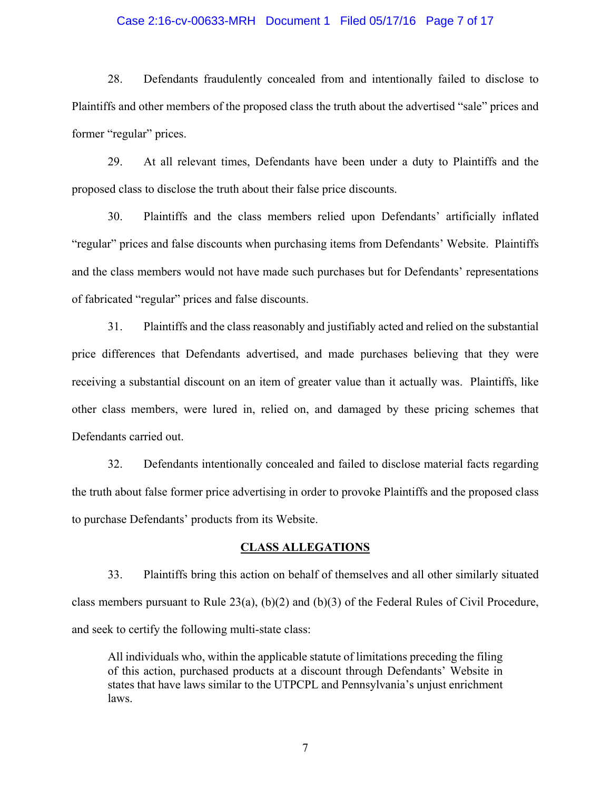## Case 2:16-cv-00633-MRH Document 1 Filed 05/17/16 Page 7 of 17

28. Defendants fraudulently concealed from and intentionally failed to disclose to Plaintiffs and other members of the proposed class the truth about the advertised "sale" prices and former "regular" prices.

29. At all relevant times, Defendants have been under a duty to Plaintiffs and the proposed class to disclose the truth about their false price discounts.

30. Plaintiffs and the class members relied upon Defendants' artificially inflated "regular" prices and false discounts when purchasing items from Defendants' Website. Plaintiffs and the class members would not have made such purchases but for Defendants' representations of fabricated "regular" prices and false discounts.

31. Plaintiffs and the class reasonably and justifiably acted and relied on the substantial price differences that Defendants advertised, and made purchases believing that they were receiving a substantial discount on an item of greater value than it actually was. Plaintiffs, like other class members, were lured in, relied on, and damaged by these pricing schemes that Defendants carried out.

32. Defendants intentionally concealed and failed to disclose material facts regarding the truth about false former price advertising in order to provoke Plaintiffs and the proposed class to purchase Defendants' products from its Website.

### **CLASS ALLEGATIONS**

33. Plaintiffs bring this action on behalf of themselves and all other similarly situated class members pursuant to Rule 23(a), (b)(2) and (b)(3) of the Federal Rules of Civil Procedure, and seek to certify the following multi-state class:

All individuals who, within the applicable statute of limitations preceding the filing of this action, purchased products at a discount through Defendants' Website in states that have laws similar to the UTPCPL and Pennsylvania's unjust enrichment laws.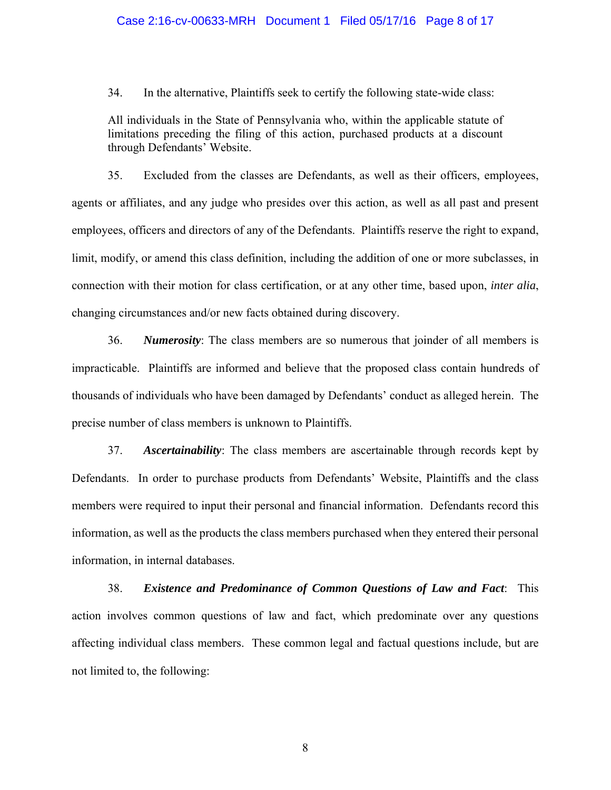34. In the alternative, Plaintiffs seek to certify the following state-wide class:

All individuals in the State of Pennsylvania who, within the applicable statute of limitations preceding the filing of this action, purchased products at a discount through Defendants' Website.

35. Excluded from the classes are Defendants, as well as their officers, employees, agents or affiliates, and any judge who presides over this action, as well as all past and present employees, officers and directors of any of the Defendants. Plaintiffs reserve the right to expand, limit, modify, or amend this class definition, including the addition of one or more subclasses, in connection with their motion for class certification, or at any other time, based upon, *inter alia*, changing circumstances and/or new facts obtained during discovery.

36. *Numerosity*: The class members are so numerous that joinder of all members is impracticable. Plaintiffs are informed and believe that the proposed class contain hundreds of thousands of individuals who have been damaged by Defendants' conduct as alleged herein. The precise number of class members is unknown to Plaintiffs.

37. *Ascertainability*: The class members are ascertainable through records kept by Defendants. In order to purchase products from Defendants' Website, Plaintiffs and the class members were required to input their personal and financial information. Defendants record this information, as well as the products the class members purchased when they entered their personal information, in internal databases.

38. *Existence and Predominance of Common Questions of Law and Fact*: This action involves common questions of law and fact, which predominate over any questions affecting individual class members. These common legal and factual questions include, but are not limited to, the following: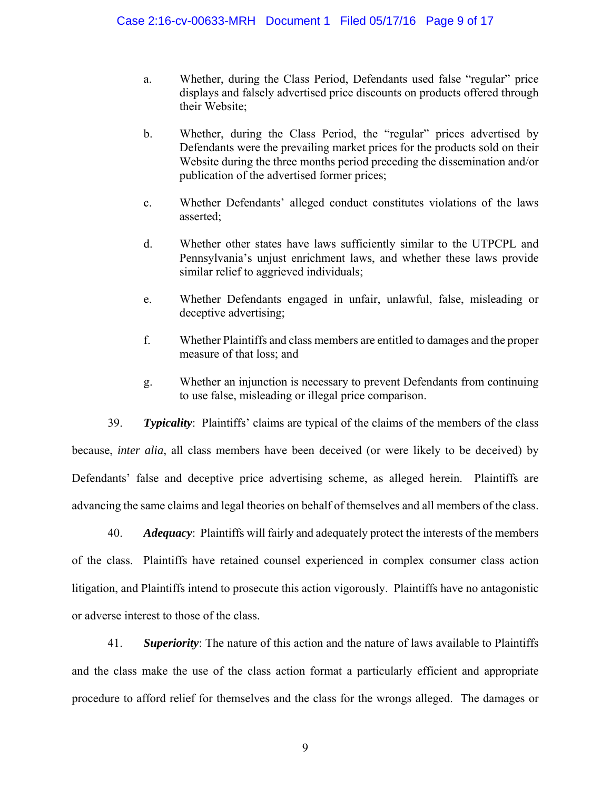- a. Whether, during the Class Period, Defendants used false "regular" price displays and falsely advertised price discounts on products offered through their Website;
- b. Whether, during the Class Period, the "regular" prices advertised by Defendants were the prevailing market prices for the products sold on their Website during the three months period preceding the dissemination and/or publication of the advertised former prices;
- c. Whether Defendants' alleged conduct constitutes violations of the laws asserted;
- d. Whether other states have laws sufficiently similar to the UTPCPL and Pennsylvania's unjust enrichment laws, and whether these laws provide similar relief to aggrieved individuals;
- e. Whether Defendants engaged in unfair, unlawful, false, misleading or deceptive advertising;
- f. Whether Plaintiffs and class members are entitled to damages and the proper measure of that loss; and
- g. Whether an injunction is necessary to prevent Defendants from continuing to use false, misleading or illegal price comparison.

39. *Typicality*: Plaintiffs' claims are typical of the claims of the members of the class because, *inter alia*, all class members have been deceived (or were likely to be deceived) by Defendants' false and deceptive price advertising scheme, as alleged herein. Plaintiffs are advancing the same claims and legal theories on behalf of themselves and all members of the class.

40. *Adequacy*: Plaintiffs will fairly and adequately protect the interests of the members of the class. Plaintiffs have retained counsel experienced in complex consumer class action litigation, and Plaintiffs intend to prosecute this action vigorously. Plaintiffs have no antagonistic or adverse interest to those of the class.

41. *Superiority*: The nature of this action and the nature of laws available to Plaintiffs and the class make the use of the class action format a particularly efficient and appropriate procedure to afford relief for themselves and the class for the wrongs alleged. The damages or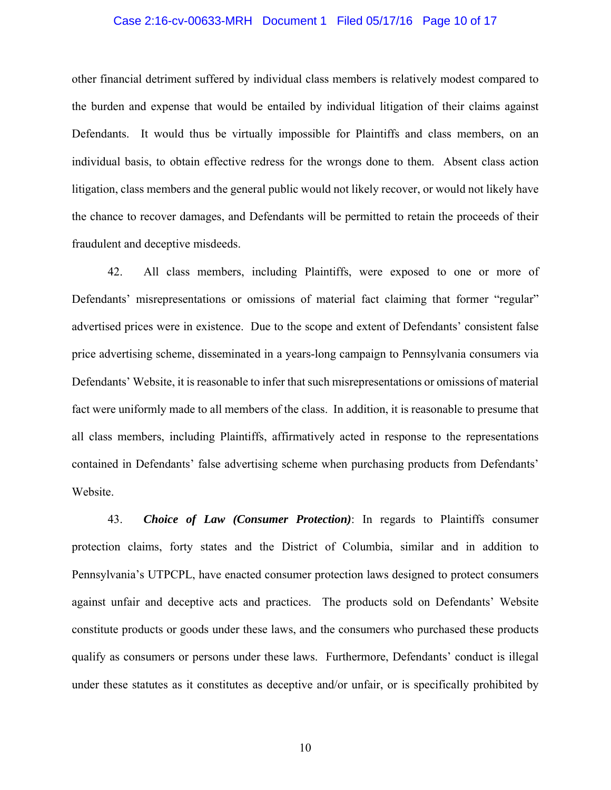#### Case 2:16-cv-00633-MRH Document 1 Filed 05/17/16 Page 10 of 17

other financial detriment suffered by individual class members is relatively modest compared to the burden and expense that would be entailed by individual litigation of their claims against Defendants. It would thus be virtually impossible for Plaintiffs and class members, on an individual basis, to obtain effective redress for the wrongs done to them. Absent class action litigation, class members and the general public would not likely recover, or would not likely have the chance to recover damages, and Defendants will be permitted to retain the proceeds of their fraudulent and deceptive misdeeds.

42. All class members, including Plaintiffs, were exposed to one or more of Defendants' misrepresentations or omissions of material fact claiming that former "regular" advertised prices were in existence. Due to the scope and extent of Defendants' consistent false price advertising scheme, disseminated in a years-long campaign to Pennsylvania consumers via Defendants' Website, it is reasonable to infer that such misrepresentations or omissions of material fact were uniformly made to all members of the class. In addition, it is reasonable to presume that all class members, including Plaintiffs, affirmatively acted in response to the representations contained in Defendants' false advertising scheme when purchasing products from Defendants' Website.

43. *Choice of Law (Consumer Protection)*: In regards to Plaintiffs consumer protection claims, forty states and the District of Columbia, similar and in addition to Pennsylvania's UTPCPL, have enacted consumer protection laws designed to protect consumers against unfair and deceptive acts and practices. The products sold on Defendants' Website constitute products or goods under these laws, and the consumers who purchased these products qualify as consumers or persons under these laws. Furthermore, Defendants' conduct is illegal under these statutes as it constitutes as deceptive and/or unfair, or is specifically prohibited by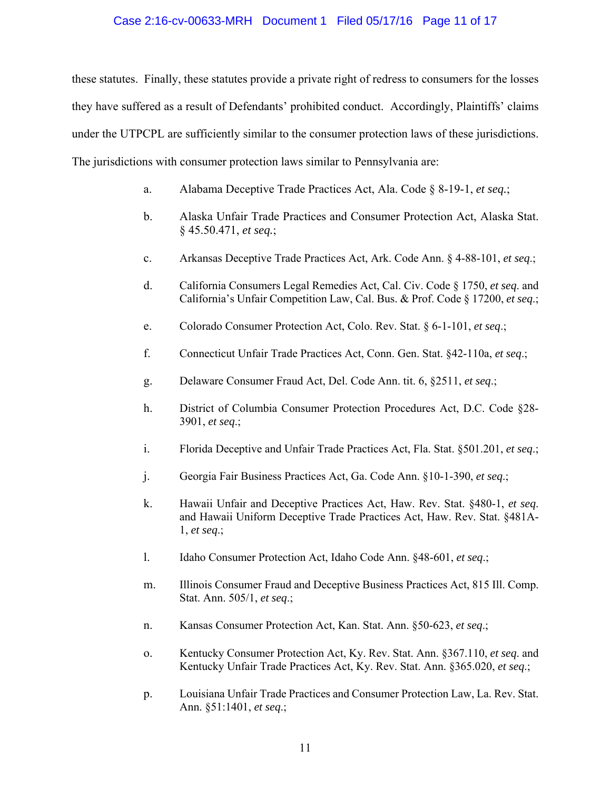## Case 2:16-cv-00633-MRH Document 1 Filed 05/17/16 Page 11 of 17

these statutes. Finally, these statutes provide a private right of redress to consumers for the losses they have suffered as a result of Defendants' prohibited conduct. Accordingly, Plaintiffs' claims under the UTPCPL are sufficiently similar to the consumer protection laws of these jurisdictions. The jurisdictions with consumer protection laws similar to Pennsylvania are:

- a. Alabama Deceptive Trade Practices Act, Ala. Code § 8-19-1, *et seq.*;
- b. Alaska Unfair Trade Practices and Consumer Protection Act, Alaska Stat. § 45.50.471, *et seq.*;
- c. Arkansas Deceptive Trade Practices Act, Ark. Code Ann. § 4-88-101, *et seq*.;
- d. California Consumers Legal Remedies Act, Cal. Civ. Code § 1750, *et seq*. and California's Unfair Competition Law, Cal. Bus. & Prof. Code § 17200, *et seq*.;
- e. Colorado Consumer Protection Act, Colo. Rev. Stat. § 6-1-101, *et seq*.;
- f. Connecticut Unfair Trade Practices Act, Conn. Gen. Stat. §42-110a, *et seq*.;
- g. Delaware Consumer Fraud Act, Del. Code Ann. tit. 6, §2511, *et seq*.;
- h. District of Columbia Consumer Protection Procedures Act, D.C. Code §28- 3901, *et seq*.;
- i. Florida Deceptive and Unfair Trade Practices Act, Fla. Stat. §501.201, *et seq*.;
- j. Georgia Fair Business Practices Act, Ga. Code Ann. §10-1-390, *et seq*.;
- k. Hawaii Unfair and Deceptive Practices Act, Haw. Rev. Stat. §480-1, *et seq*. and Hawaii Uniform Deceptive Trade Practices Act, Haw. Rev. Stat. §481A-1, *et seq*.;
- l. Idaho Consumer Protection Act, Idaho Code Ann. §48-601, *et seq*.;
- m. Illinois Consumer Fraud and Deceptive Business Practices Act, 815 Ill. Comp. Stat. Ann. 505/1, *et seq*.;
- n. Kansas Consumer Protection Act, Kan. Stat. Ann. §50-623, *et seq*.;
- o. Kentucky Consumer Protection Act, Ky. Rev. Stat. Ann. §367.110, *et seq*. and Kentucky Unfair Trade Practices Act, Ky. Rev. Stat. Ann. §365.020, *et seq*.;
- p. Louisiana Unfair Trade Practices and Consumer Protection Law, La. Rev. Stat. Ann. §51:1401, *et seq*.;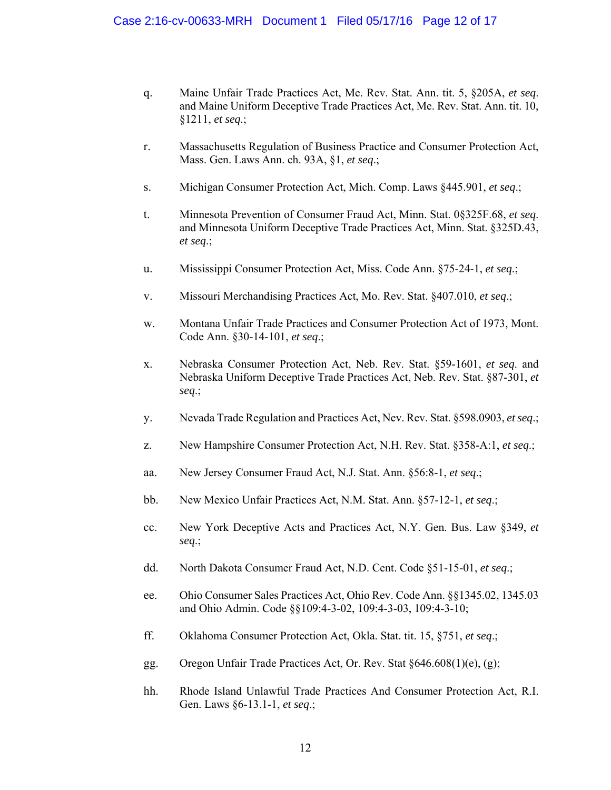- q. Maine Unfair Trade Practices Act, Me. Rev. Stat. Ann. tit. 5, §205A, *et seq*. and Maine Uniform Deceptive Trade Practices Act, Me. Rev. Stat. Ann. tit. 10, §1211, *et seq*.;
- r. Massachusetts Regulation of Business Practice and Consumer Protection Act, Mass. Gen. Laws Ann. ch. 93A, §1, *et seq*.;
- s. Michigan Consumer Protection Act, Mich. Comp. Laws §445.901, *et seq*.;
- t. Minnesota Prevention of Consumer Fraud Act, Minn. Stat. 0§325F.68, *et seq*. and Minnesota Uniform Deceptive Trade Practices Act, Minn. Stat. §325D.43, *et seq*.;
- u. Mississippi Consumer Protection Act, Miss. Code Ann. §75-24-1, *et seq*.;
- v. Missouri Merchandising Practices Act, Mo. Rev. Stat. §407.010, *et seq*.;
- w. Montana Unfair Trade Practices and Consumer Protection Act of 1973, Mont. Code Ann. §30-14-101, *et seq*.;
- x. Nebraska Consumer Protection Act, Neb. Rev. Stat. §59-1601, *et seq*. and Nebraska Uniform Deceptive Trade Practices Act, Neb. Rev. Stat. §87-301, *et seq*.;
- y. Nevada Trade Regulation and Practices Act, Nev. Rev. Stat. §598.0903, *et seq*.;
- z. New Hampshire Consumer Protection Act, N.H. Rev. Stat. §358-A:1, *et seq*.;
- aa. New Jersey Consumer Fraud Act, N.J. Stat. Ann. §56:8-1, *et seq*.;
- bb. New Mexico Unfair Practices Act, N.M. Stat. Ann. §57-12-1, *et seq*.;
- cc. New York Deceptive Acts and Practices Act, N.Y. Gen. Bus. Law §349, *et seq*.;
- dd. North Dakota Consumer Fraud Act, N.D. Cent. Code §51-15-01, *et seq*.;
- ee. Ohio Consumer Sales Practices Act, Ohio Rev. Code Ann. §§1345.02, 1345.03 and Ohio Admin. Code §§109:4-3-02, 109:4-3-03, 109:4-3-10;
- ff. Oklahoma Consumer Protection Act, Okla. Stat. tit. 15, §751, *et seq*.;
- gg. Oregon Unfair Trade Practices Act, Or. Rev. Stat §646.608(1)(e), (g);
- hh. Rhode Island Unlawful Trade Practices And Consumer Protection Act, R.I. Gen. Laws §6-13.1-1, *et seq*.;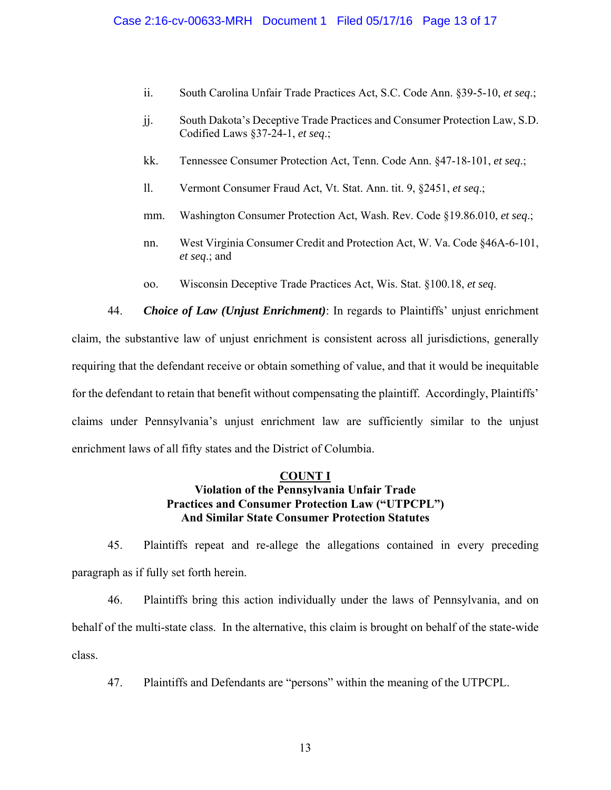- ii. South Carolina Unfair Trade Practices Act, S.C. Code Ann. §39-5-10, *et seq*.;
- jj. South Dakota's Deceptive Trade Practices and Consumer Protection Law, S.D. Codified Laws §37-24-1, *et seq*.;
- kk. Tennessee Consumer Protection Act, Tenn. Code Ann. §47-18-101, *et seq*.;
- ll. Vermont Consumer Fraud Act, Vt. Stat. Ann. tit. 9, §2451, *et seq*.;
- mm. Washington Consumer Protection Act, Wash. Rev. Code §19.86.010, *et seq*.;
- nn. West Virginia Consumer Credit and Protection Act, W. Va. Code §46A-6-101, *et seq*.; and
- oo. Wisconsin Deceptive Trade Practices Act, Wis. Stat. §100.18, *et seq*.

44. *Choice of Law (Unjust Enrichment)*: In regards to Plaintiffs' unjust enrichment claim, the substantive law of unjust enrichment is consistent across all jurisdictions, generally requiring that the defendant receive or obtain something of value, and that it would be inequitable for the defendant to retain that benefit without compensating the plaintiff. Accordingly, Plaintiffs' claims under Pennsylvania's unjust enrichment law are sufficiently similar to the unjust enrichment laws of all fifty states and the District of Columbia.

## **COUNT I**

## **Violation of the Pennsylvania Unfair Trade Practices and Consumer Protection Law ("UTPCPL") And Similar State Consumer Protection Statutes**

45. Plaintiffs repeat and re-allege the allegations contained in every preceding paragraph as if fully set forth herein.

46. Plaintiffs bring this action individually under the laws of Pennsylvania, and on behalf of the multi-state class. In the alternative, this claim is brought on behalf of the state-wide class.

47. Plaintiffs and Defendants are "persons" within the meaning of the UTPCPL.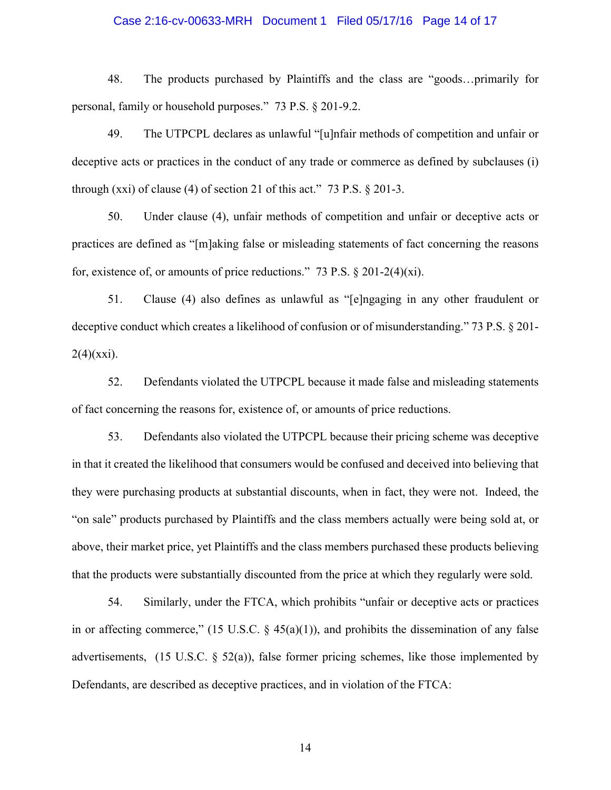#### Case 2:16-cv-00633-MRH Document 1 Filed 05/17/16 Page 14 of 17

48. The products purchased by Plaintiffs and the class are "goods…primarily for personal, family or household purposes." 73 P.S. § 201-9.2.

49. The UTPCPL declares as unlawful "[u]nfair methods of competition and unfair or deceptive acts or practices in the conduct of any trade or commerce as defined by subclauses (i) through  $(xxi)$  of clause (4) of section 21 of this act." 73 P.S.  $\S$  201-3.

50. Under clause (4), unfair methods of competition and unfair or deceptive acts or practices are defined as "[m]aking false or misleading statements of fact concerning the reasons for, existence of, or amounts of price reductions." 73 P.S.  $\S 201-2(4)(xi)$ .

51. Clause (4) also defines as unlawful as "[e]ngaging in any other fraudulent or deceptive conduct which creates a likelihood of confusion or of misunderstanding." 73 P.S. § 201-  $2(4)(xxi)$ .

52. Defendants violated the UTPCPL because it made false and misleading statements of fact concerning the reasons for, existence of, or amounts of price reductions.

53. Defendants also violated the UTPCPL because their pricing scheme was deceptive in that it created the likelihood that consumers would be confused and deceived into believing that they were purchasing products at substantial discounts, when in fact, they were not. Indeed, the "on sale" products purchased by Plaintiffs and the class members actually were being sold at, or above, their market price, yet Plaintiffs and the class members purchased these products believing that the products were substantially discounted from the price at which they regularly were sold.

54. Similarly, under the FTCA, which prohibits "unfair or deceptive acts or practices in or affecting commerce," (15 U.S.C.  $\S$  45(a)(1)), and prohibits the dissemination of any false advertisements, (15 U.S.C. § 52(a)), false former pricing schemes, like those implemented by Defendants, are described as deceptive practices, and in violation of the FTCA: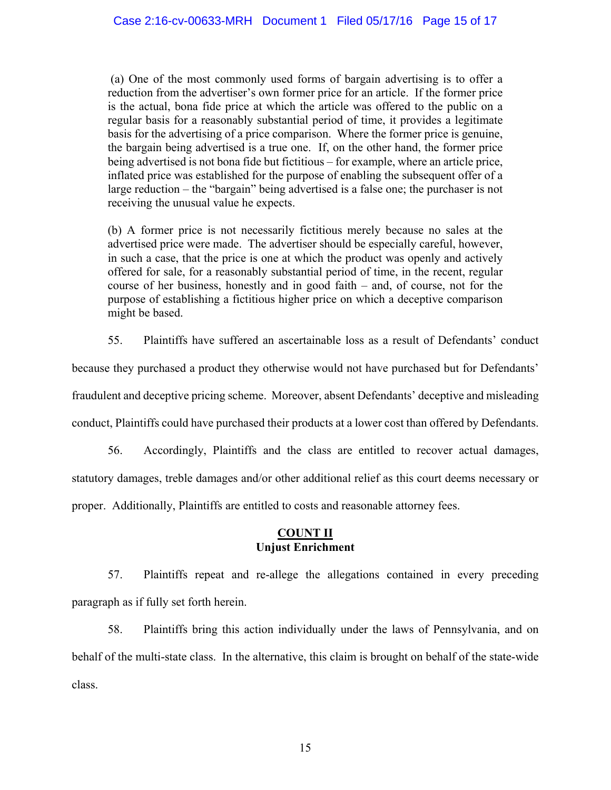(a) One of the most commonly used forms of bargain advertising is to offer a reduction from the advertiser's own former price for an article. If the former price is the actual, bona fide price at which the article was offered to the public on a regular basis for a reasonably substantial period of time, it provides a legitimate basis for the advertising of a price comparison. Where the former price is genuine, the bargain being advertised is a true one. If, on the other hand, the former price being advertised is not bona fide but fictitious – for example, where an article price, inflated price was established for the purpose of enabling the subsequent offer of a large reduction – the "bargain" being advertised is a false one; the purchaser is not receiving the unusual value he expects.

(b) A former price is not necessarily fictitious merely because no sales at the advertised price were made. The advertiser should be especially careful, however, in such a case, that the price is one at which the product was openly and actively offered for sale, for a reasonably substantial period of time, in the recent, regular course of her business, honestly and in good faith – and, of course, not for the purpose of establishing a fictitious higher price on which a deceptive comparison might be based.

55. Plaintiffs have suffered an ascertainable loss as a result of Defendants' conduct

because they purchased a product they otherwise would not have purchased but for Defendants' fraudulent and deceptive pricing scheme. Moreover, absent Defendants' deceptive and misleading conduct, Plaintiffs could have purchased their products at a lower cost than offered by Defendants.

56. Accordingly, Plaintiffs and the class are entitled to recover actual damages, statutory damages, treble damages and/or other additional relief as this court deems necessary or proper. Additionally, Plaintiffs are entitled to costs and reasonable attorney fees.

## **COUNT II Unjust Enrichment**

57. Plaintiffs repeat and re-allege the allegations contained in every preceding paragraph as if fully set forth herein.

58. Plaintiffs bring this action individually under the laws of Pennsylvania, and on behalf of the multi-state class. In the alternative, this claim is brought on behalf of the state-wide class.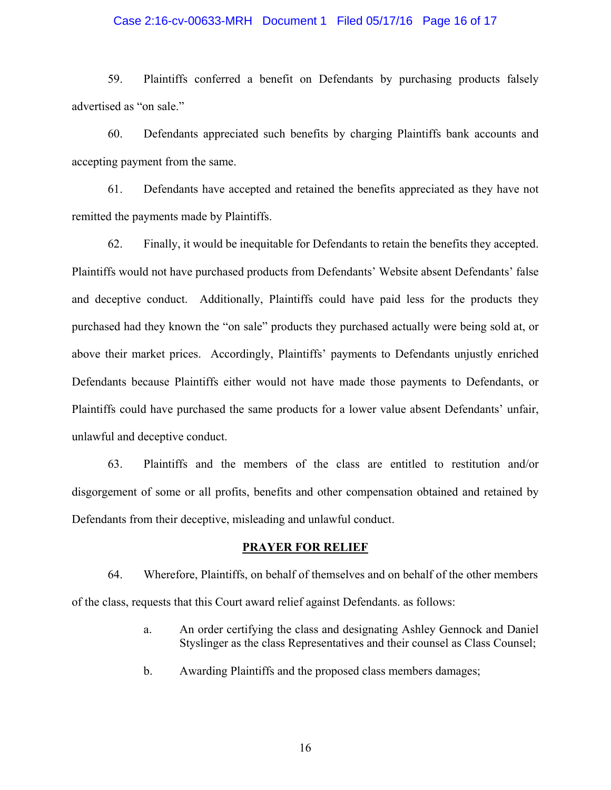#### Case 2:16-cv-00633-MRH Document 1 Filed 05/17/16 Page 16 of 17

59. Plaintiffs conferred a benefit on Defendants by purchasing products falsely advertised as "on sale."

60. Defendants appreciated such benefits by charging Plaintiffs bank accounts and accepting payment from the same.

61. Defendants have accepted and retained the benefits appreciated as they have not remitted the payments made by Plaintiffs.

62. Finally, it would be inequitable for Defendants to retain the benefits they accepted. Plaintiffs would not have purchased products from Defendants' Website absent Defendants' false and deceptive conduct. Additionally, Plaintiffs could have paid less for the products they purchased had they known the "on sale" products they purchased actually were being sold at, or above their market prices. Accordingly, Plaintiffs' payments to Defendants unjustly enriched Defendants because Plaintiffs either would not have made those payments to Defendants, or Plaintiffs could have purchased the same products for a lower value absent Defendants' unfair, unlawful and deceptive conduct.

63. Plaintiffs and the members of the class are entitled to restitution and/or disgorgement of some or all profits, benefits and other compensation obtained and retained by Defendants from their deceptive, misleading and unlawful conduct.

### **PRAYER FOR RELIEF**

64. Wherefore, Plaintiffs, on behalf of themselves and on behalf of the other members of the class, requests that this Court award relief against Defendants. as follows:

- a. An order certifying the class and designating Ashley Gennock and Daniel Styslinger as the class Representatives and their counsel as Class Counsel;
- b. Awarding Plaintiffs and the proposed class members damages;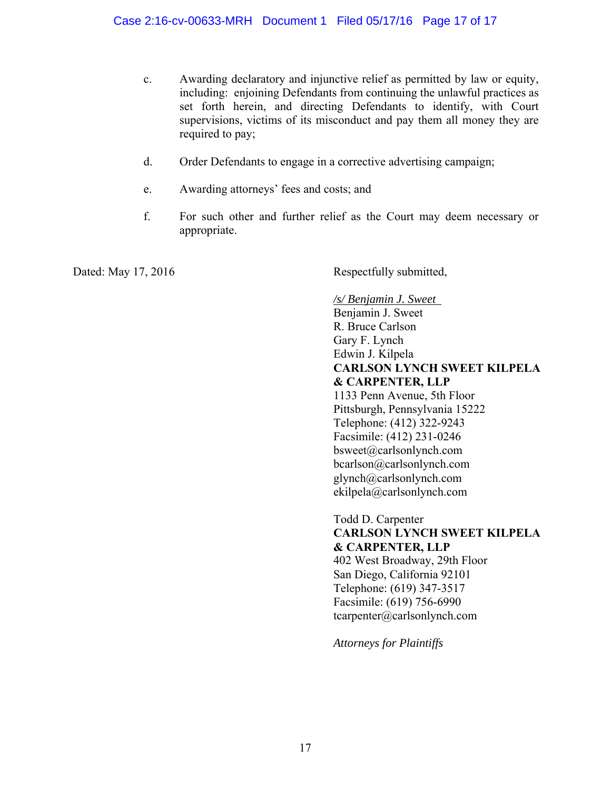- c. Awarding declaratory and injunctive relief as permitted by law or equity, including: enjoining Defendants from continuing the unlawful practices as set forth herein, and directing Defendants to identify, with Court supervisions, victims of its misconduct and pay them all money they are required to pay;
- d. Order Defendants to engage in a corrective advertising campaign;
- e. Awarding attorneys' fees and costs; and
- f. For such other and further relief as the Court may deem necessary or appropriate.

Dated: May 17, 2016 Respectfully submitted,

## */s/ Benjamin J. Sweet*  Benjamin J. Sweet R. Bruce Carlson Gary F. Lynch Edwin J. Kilpela **CARLSON LYNCH SWEET KILPELA & CARPENTER, LLP**  1133 Penn Avenue, 5th Floor Pittsburgh, Pennsylvania 15222 Telephone: (412) 322-9243 Facsimile: (412) 231-0246 bsweet@carlsonlynch.com bcarlson@carlsonlynch.com glynch@carlsonlynch.com ekilpela@carlsonlynch.com

## Todd D. Carpenter **CARLSON LYNCH SWEET KILPELA & CARPENTER, LLP**

402 West Broadway, 29th Floor San Diego, California 92101 Telephone: (619) 347-3517 Facsimile: (619) 756-6990 tcarpenter@carlsonlynch.com

*Attorneys for Plaintiffs*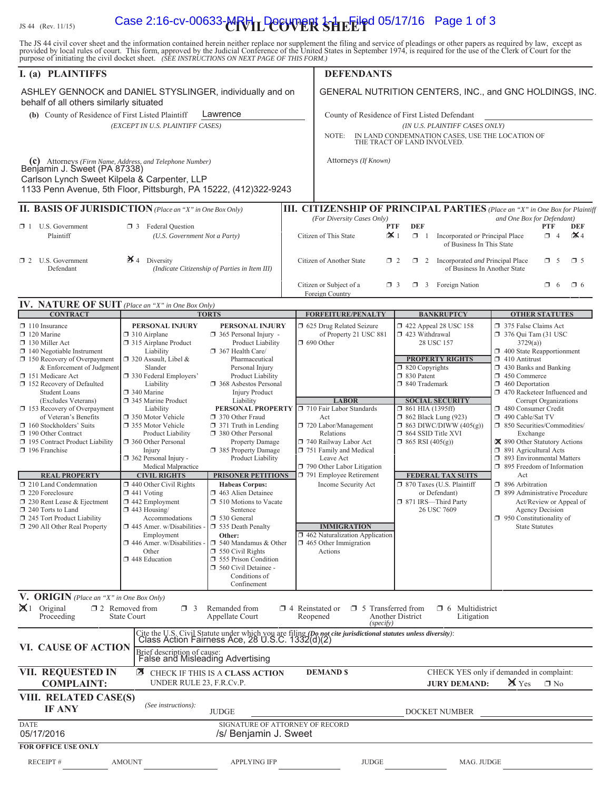# **IS 44 (Rev. 11/15)** Case 2:16-cv-00633-MRHL DOCUPER SHEE<sup>I</sup>Pd 05/17/16 Page 1 of 3

The JS 44 civil cover sheet and the information contained herein neither replace nor supplement the filing and service of pleadings or other papers as required by law, except as provided by local rules of court. This form,

| I. (a) PLAINTIFFS                                                                                                                                                  |                                                                                                                                             |                                                                                                                                                                 | <b>DEFENDANTS</b>                                                                                                                                                       |                                                                                                                                              |                                                                                                                                                                                      |  |
|--------------------------------------------------------------------------------------------------------------------------------------------------------------------|---------------------------------------------------------------------------------------------------------------------------------------------|-----------------------------------------------------------------------------------------------------------------------------------------------------------------|-------------------------------------------------------------------------------------------------------------------------------------------------------------------------|----------------------------------------------------------------------------------------------------------------------------------------------|--------------------------------------------------------------------------------------------------------------------------------------------------------------------------------------|--|
| ASHLEY GENNOCK and DANIEL STYSLINGER, individually and on<br>behalf of all others similarly situated                                                               |                                                                                                                                             |                                                                                                                                                                 |                                                                                                                                                                         |                                                                                                                                              | GENERAL NUTRITION CENTERS, INC., and GNC HOLDINGS, INC.                                                                                                                              |  |
| (b) County of Residence of First Listed Plaintiff<br>Lawrence                                                                                                      |                                                                                                                                             |                                                                                                                                                                 | County of Residence of First Listed Defendant                                                                                                                           |                                                                                                                                              |                                                                                                                                                                                      |  |
| (EXCEPT IN U.S. PLAINTIFF CASES)                                                                                                                                   |                                                                                                                                             | NOTE:                                                                                                                                                           | (IN U.S. PLAINTIFF CASES ONLY)<br>IN LAND CONDEMNATION CASES, USE THE LOCATION OF THE TRACT OF LAND INVOLVED.                                                           |                                                                                                                                              |                                                                                                                                                                                      |  |
| (c) Attorneys (Firm Name, Address, and Telephone Number)                                                                                                           |                                                                                                                                             |                                                                                                                                                                 | Attorneys (If Known)                                                                                                                                                    |                                                                                                                                              |                                                                                                                                                                                      |  |
| Benjamin J. Sweet (PA 87338)<br>Carlson Lynch Sweet Kilpela & Carpenter, LLP<br>1133 Penn Avenue, 5th Floor, Pittsburgh, PA 15222, (412)322-9243                   |                                                                                                                                             |                                                                                                                                                                 |                                                                                                                                                                         |                                                                                                                                              |                                                                                                                                                                                      |  |
| <b>II. BASIS OF JURISDICTION</b> (Place an "X" in One Box Only)                                                                                                    |                                                                                                                                             |                                                                                                                                                                 |                                                                                                                                                                         |                                                                                                                                              | <b>III. CITIZENSHIP OF PRINCIPAL PARTIES</b> (Place an "X" in One Box for Plaintiff                                                                                                  |  |
| $\Box$ 1 U.S. Government<br>Plaintiff                                                                                                                              | <b>1</b> 3 Federal Question<br>(U.S. Government Not a Party)                                                                                |                                                                                                                                                                 | (For Diversity Cases Only)<br>Citizen of This State                                                                                                                     | <b>DEF</b><br>PTF<br>$\mathbf{\times}1$<br>$\Box$ 1<br>Incorporated or Principal Place<br>of Business In This State                          | and One Box for Defendant)<br>PTF<br>DEF<br>$\mathbf{\times}$ 4<br>$\Box$ 4                                                                                                          |  |
| $\Box$ 2 U.S. Government<br>Defendant                                                                                                                              | $\cancel{\blacktriangleright}$ 4 Diversity                                                                                                  | (Indicate Citizenship of Parties in Item III)                                                                                                                   | Citizen of Another State                                                                                                                                                | $\Box$ 2<br>$\Box$ 2 Incorporated <i>and</i> Principal Place<br>of Business In Another State                                                 | $\Box$ 5<br>$\square$ 5                                                                                                                                                              |  |
|                                                                                                                                                                    |                                                                                                                                             |                                                                                                                                                                 | Citizen or Subject of a<br>Foreign Country                                                                                                                              | $\Box$ 3 Foreign Nation<br>$\Box$ 3                                                                                                          | $\Box$ 6<br>$\Box$ 6                                                                                                                                                                 |  |
| <b>IV. NATURE OF SUIT</b> (Place an "X" in One Box Only)<br><b>CONTRACT</b>                                                                                        |                                                                                                                                             | <b>TORTS</b>                                                                                                                                                    | <b>FORFEITURE/PENALTY</b>                                                                                                                                               | <b>BANKRUPTCY</b>                                                                                                                            | <b>OTHER STATUTES</b>                                                                                                                                                                |  |
| $\Box$ 110 Insurance<br>$\Box$ 120 Marine<br>130 Miller Act<br>$\Box$ 140 Negotiable Instrument<br>$\Box$ 150 Recovery of Overpayment<br>& Enforcement of Judgment | PERSONAL INJURY<br>$\Box$ 310 Airplane<br>□ 315 Airplane Product<br>Liability<br>$\Box$ 320 Assault, Libel &<br>Slander                     | PERSONAL INJURY<br>$\Box$ 365 Personal Injury -<br><b>Product Liability</b><br>367 Health Care/<br>Pharmaceutical<br>Personal Injury                            | 1 625 Drug Related Seizure<br>of Property 21 USC 881<br>$\Box$ 690 Other                                                                                                | 158 122 Appeal 28 USC 158<br>$\Box$ 423 Withdrawal<br>28 USC 157<br><b>PROPERTY RIGHTS</b><br>$\Box$ 820 Copyrights                          | 375 False Claims Act<br>376 Qui Tam (31 USC<br>3729(a)<br>$\Box$ 400 State Reapportionment<br>$\Box$ 410 Antitrust<br>$\Box$ 430 Banks and Banking                                   |  |
| 151 Medicare Act<br>152 Recovery of Defaulted<br><b>Student Loans</b><br>(Excludes Veterans)                                                                       | □ 330 Federal Employers'<br>Liability<br>340 Marine<br>345 Marine Product                                                                   | Product Liability<br>368 Asbestos Personal<br><b>Injury Product</b><br>Liability                                                                                | <b>LABOR</b>                                                                                                                                                            | $\Box$ 830 Patent<br>□ 840 Trademark<br><b>SOCIAL SECURITY</b>                                                                               | $\Box$ 450 Commerce<br>$\Box$ 460 Deportation<br>1 470 Racketeer Influenced and<br>Corrupt Organizations                                                                             |  |
| 153 Recovery of Overpayment<br>of Veteran's Benefits<br>160 Stockholders' Suits<br>190 Other Contract<br>195 Contract Product Liability<br>$\Box$ 196 Franchise    | Liability<br>350 Motor Vehicle<br>□ 355 Motor Vehicle<br>Product Liability<br>360 Other Personal<br>Injury<br>362 Personal Injury -         | PERSONAL PROPERTY<br>370 Other Fraud<br>$\Box$ 371 Truth in Lending<br>380 Other Personal<br><b>Property Damage</b><br>385 Property Damage<br>Product Liability | 710 Fair Labor Standards<br>Act<br>720 Labor/Management<br>Relations<br>740 Railway Labor Act<br>751 Family and Medical<br>Leave Act                                    | $\Box$ 861 HIA (1395ff)<br><b>1</b> 862 Black Lung (923)<br>$\Box$ 863 DIWC/DIWW (405(g))<br>□ 864 SSID Title XVI<br>$\Box$ 865 RSI (405(g)) | 480 Consumer Credit<br>490 Cable/Sat TV<br>$\Box$ 850 Securities/Commodities/<br>Exchange<br>X 890 Other Statutory Actions<br>□ 891 Agricultural Acts<br>5 893 Environmental Matters |  |
|                                                                                                                                                                    | Medical Malpractice                                                                                                                         |                                                                                                                                                                 | 790 Other Labor Litigation                                                                                                                                              |                                                                                                                                              | $\Box$ 895 Freedom of Information                                                                                                                                                    |  |
| <b>REAL PROPERTY</b><br>$\Box$ 210 Land Condemnation<br>220 Foreclosure<br>230 Rent Lease & Ejectment<br>$\Box$ 240 Torts to Land<br>245 Tort Product Liability    | <b>CIVIL RIGHTS</b><br>$\Box$ 440 Other Civil Rights<br>$\Box$ 441 Voting<br>$\Box$ 442 Employment<br>$\Box$ 443 Housing/<br>Accommodations | <b>PRISONER PETITIONS</b><br><b>Habeas Corpus:</b><br>463 Alien Detainee<br>$\Box$ 510 Motions to Vacate<br>Sentence<br>530 General                             | 791 Employee Retirement<br>Income Security Act                                                                                                                          | <b>FEDERAL TAX SUITS</b><br>□ 870 Taxes (U.S. Plaintiff<br>or Defendant)<br>□ 871 IRS—Third Party<br>26 USC 7609                             | Act<br>$\Box$ 896 Arbitration<br>□ 899 Administrative Procedure<br>Act/Review or Appeal of<br>Agency Decision<br>$\Box$ 950 Constitutionality of                                     |  |
| 290 All Other Real Property                                                                                                                                        | $\Box$ 445 Amer. w/Disabilities -<br>Employment                                                                                             | 535 Death Penalty<br>Other:                                                                                                                                     | <b>IMMIGRATION</b><br>$\Box$ 462 Naturalization Application                                                                                                             |                                                                                                                                              | <b>State Statutes</b>                                                                                                                                                                |  |
|                                                                                                                                                                    | $\Box$ 446 Amer. w/Disabilities -<br>Other<br>448 Education                                                                                 | $\Box$ 540 Mandamus & Other<br>$\Box$ 550 Civil Rights<br>555 Prison Condition<br>560 Civil Detainee -<br>Conditions of<br>Confinement                          | $\Box$ 465 Other Immigration<br>Actions                                                                                                                                 |                                                                                                                                              |                                                                                                                                                                                      |  |
| V. ORIGIN (Place an "X" in One Box Only)                                                                                                                           |                                                                                                                                             |                                                                                                                                                                 |                                                                                                                                                                         |                                                                                                                                              |                                                                                                                                                                                      |  |
| $\mathbb{X}_1$ Original<br>Proceeding                                                                                                                              | $\Box$ 2 Removed from<br>$\Box$ 3<br><b>State Court</b>                                                                                     | Remanded from<br>Appellate Court                                                                                                                                | $\Box$ 4 Reinstated or $\Box$ 5 Transferred from<br>Reopened<br>(specify)                                                                                               | $\Box$ 6 Multidistrict<br>Litigation<br>Another District                                                                                     |                                                                                                                                                                                      |  |
| VI. CAUSE OF ACTION                                                                                                                                                | Brief description of cause:<br>False and Misleading Advertising                                                                             |                                                                                                                                                                 | Cite the U.S. Civil Statute under which you are filing ( <i>Do not cite jurisdictional statutes unless diversity</i> ): Class Action Fairness Ace, 28 U.S.C. 1332(d)(2) |                                                                                                                                              |                                                                                                                                                                                      |  |
| VII. REQUESTED IN<br><b>COMPLAINT:</b>                                                                                                                             | UNDER RULE 23, F.R.Cv.P.                                                                                                                    | <b>E</b> CHECK IF THIS IS A CLASS ACTION                                                                                                                        | <b>DEMAND \$</b>                                                                                                                                                        | <b>JURY DEMAND:</b>                                                                                                                          | CHECK YES only if demanded in complaint:<br>$\mathbf{X}$ Yes<br>$\Box$ No                                                                                                            |  |
| VIII. RELATED CASE(S)<br><b>IF ANY</b>                                                                                                                             | (See instructions):                                                                                                                         | <b>JUDGE</b>                                                                                                                                                    |                                                                                                                                                                         | DOCKET NUMBER                                                                                                                                |                                                                                                                                                                                      |  |
| <b>DATE</b><br>05/17/2016                                                                                                                                          |                                                                                                                                             | SIGNATURE OF ATTORNEY OF RECORD<br>/s/ Benjamin J. Sweet                                                                                                        |                                                                                                                                                                         |                                                                                                                                              |                                                                                                                                                                                      |  |
| <b>FOR OFFICE USE ONLY</b><br>RECEIPT#                                                                                                                             | AMOUNT                                                                                                                                      | APPLYING IFP                                                                                                                                                    | <b>JUDGE</b>                                                                                                                                                            | MAG. JUDGE                                                                                                                                   |                                                                                                                                                                                      |  |
|                                                                                                                                                                    |                                                                                                                                             |                                                                                                                                                                 |                                                                                                                                                                         |                                                                                                                                              |                                                                                                                                                                                      |  |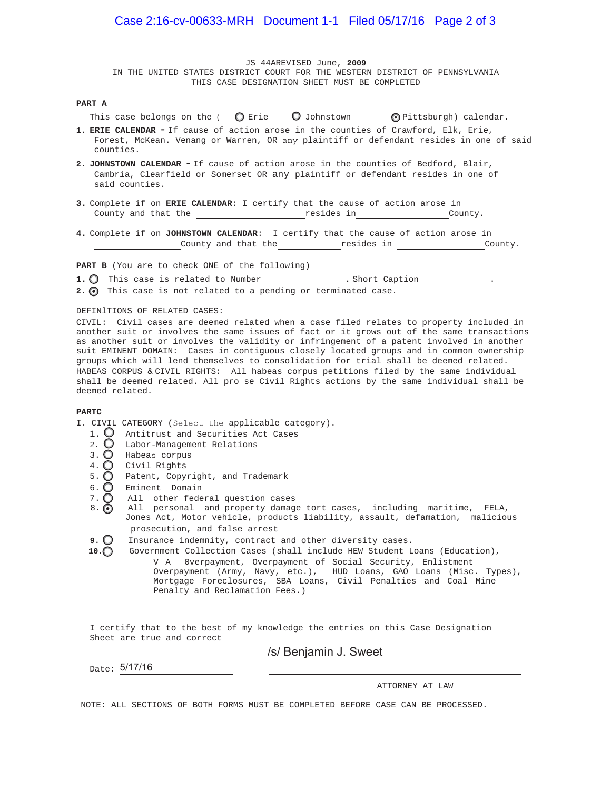JS 44AREVISED June, **2009**

IN THE UNITED STATES DISTRICT COURT FOR THE WESTERN DISTRICT OF PENNSYLVANIA THIS CASE DESIGNATION SHEET MUST BE COMPLETED

#### **PART A**

This case belongs on the (  $\bigcirc$  Erie  $\bigcirc$  Johnstown  $\bigcirc$  Pittsburgh) calendar.

- **1. ERIE CALENDAR** If cause of action arose in the counties of Crawford, Elk, Erie, Forest, McKean. Venang or Warren, OR any plaintiff or defendant resides in one of said counties.
- **2. JOHNSTOWN CALENDAR** If cause of action arose in the counties of Bedford, Blair, Cambria, Clearfield or Somerset OR any plaintiff or defendant resides in one of said counties.
- **3.** Complete if on **ERIE CALENDAR**: I certify that the cause of action arose in County and that the **resides in County.** County.
- **4.** Complete if on **JOHNSTOWN CALENDAR**: I certify that the cause of action arose in County and that the resides in County.

**PART B** (You are to check ONE of the following)

1. O This case is related to Number . Short Caption .............................

2.  $\odot$  This case is not related to a pending or terminated case.

#### DEFINlTIONS OF RELATED CASES:

CIVIL: Civil cases are deemed related when a case filed relates to property included in another suit or involves the same issues of fact or it grows out of the same transactions as another suit or involves the validity or infringement of a patent involved in another suit EMINENT DOMAIN: Cases in contiguous closely located groups and in common ownership groups which will lend themselves to consolidation for trial shall be deemed related. HABEAS CORPUS & CIVIL RIGHTS: All habeas corpus petitions filed by the same individual shall be deemed related. All pro se Civil Rights actions by the same individual shall be deemed related.

#### **PARTC**

I. CIVIL CATEGORY (Select the applicable category).

- 1.  $\bigcirc$  Antitrust and Securities Act Cases
- 2. O Labor-Management Relations
- 3. Habeas corpus
- 4. O Civil Rights
- 5.  $\overline{O}$  Patent, Copyright, and Trademark
- 6. Eminent Domain
- 
- 7.  $\bigcirc$  All other federal question cases 8.  $\bigcirc$  All personal and property damage 8. All personal and property damage tort cases, including maritime, FELA, Jones Act, Motor vehicle, products liability, assault, defamation, malicious prosecution, and false arrest
- **9.** Insurance indemnity, contract and other diversity cases.
- **10.** Government Collection Cases (shall include HEW Student Loans (Education), V A 0verpayment, Overpayment of Social Security, Enlistment Overpayment (Army, Navy, etc.), HUD Loans, GAO Loans (Misc. Types), Mortgage Foreclosures, SBA Loans, Civil Penalties and Coal Mine Penalty and Reclamation Fees.)

I certify that to the best of my knowledge the entries on this Case Designation Sheet are true and correct

/s/ Benjamin J. Sweet

<sub>Date:</sub> 5/17/16

ATTORNEY AT LAW

NOTE: ALL SECTIONS OF BOTH FORMS MUST BE COMPLETED BEFORE CASE CAN BE PROCESSED.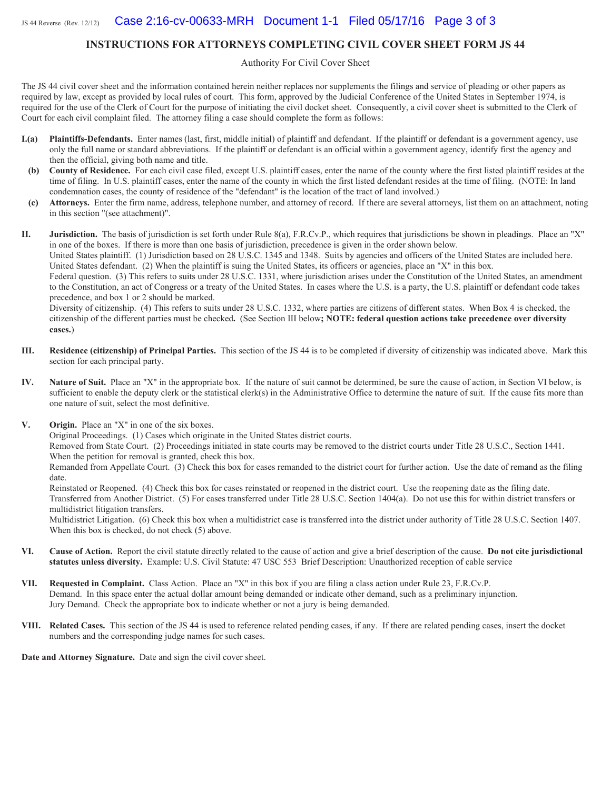#### **INSTRUCTIONS FOR ATTORNEYS COMPLETING CIVIL COVER SHEET FORM JS 44**

Authority For Civil Cover Sheet

The JS 44 civil cover sheet and the information contained herein neither replaces nor supplements the filings and service of pleading or other papers as required by law, except as provided by local rules of court. This form, approved by the Judicial Conference of the United States in September 1974, is required for the use of the Clerk of Court for the purpose of initiating the civil docket sheet. Consequently, a civil cover sheet is submitted to the Clerk of Court for each civil complaint filed. The attorney filing a case should complete the form as follows:

- **I.(a)** Plaintiffs-Defendants. Enter names (last, first, middle initial) of plaintiff and defendant. If the plaintiff or defendant is a government agency, use only the full name or standard abbreviations. If the plaintiff or defendant is an official within a government agency, identify first the agency and then the official, giving both name and title.
- (b) County of Residence. For each civil case filed, except U.S. plaintiff cases, enter the name of the county where the first listed plaintiff resides at the time of filing. In U.S. plaintiff cases, enter the name of the county in which the first listed defendant resides at the time of filing. (NOTE: In land condemnation cases, the county of residence of the "defendant" is the location of the tract of land involved.)
- (c) Attorneys. Enter the firm name, address, telephone number, and attorney of record. If there are several attorneys, list them on an attachment, noting in this section "(see attachment)".

**II.** Jurisdiction. The basis of jurisdiction is set forth under Rule 8(a), F.R.Cv.P., which requires that jurisdictions be shown in pleadings. Place an "X" in one of the boxes. If there is more than one basis of jurisdiction, precedence is given in the order shown below. United States plaintiff. (1) Jurisdiction based on 28 U.S.C. 1345 and 1348. Suits by agencies and officers of the United States are included here. United States defendant. (2) When the plaintiff is suing the United States, its officers or agencies, place an "X" in this box. Federal question. (3) This refers to suits under 28 U.S.C. 1331, where jurisdiction arises under the Constitution of the United States, an amendment to the Constitution, an act of Congress or a treaty of the United States. In cases where the U.S. is a party, the U.S. plaintiff or defendant code takes

precedence, and box 1 or 2 should be marked.

Diversity of citizenship. (4) This refers to suits under 28 U.S.C. 1332, where parties are citizens of different states. When Box 4 is checked, the citizenship of the different parties must be checked. (See Section III below; NOTE: federal question actions take precedence over diversity **cases.** 

- **III.** Residence (citizenship) of Principal Parties. This section of the JS 44 is to be completed if diversity of citizenship was indicated above. Mark this section for each principal party.
- **IV.** Nature of Suit. Place an "X" in the appropriate box. If the nature of suit cannot be determined, be sure the cause of action, in Section VI below, is sufficient to enable the deputy clerk or the statistical clerk(s) in the Administrative Office to determine the nature of suit. If the cause fits more than one nature of suit, select the most definitive.
- **V.** Origin. Place an "X" in one of the six boxes.

Original Proceedings. (1) Cases which originate in the United States district courts.

Removed from State Court. (2) Proceedings initiated in state courts may be removed to the district courts under Title 28 U.S.C., Section 1441. When the petition for removal is granted, check this box.

Remanded from Appellate Court. (3) Check this box for cases remanded to the district court for further action. Use the date of remand as the filing date

Reinstated or Reopened. (4) Check this box for cases reinstated or reopened in the district court. Use the reopening date as the filing date. Transferred from Another District. (5) For cases transferred under Title 28 U.S.C. Section 1404(a). Do not use this for within district transfers or multidistrict litigation transfers.

Multidistrict Litigation. (6) Check this box when a multidistrict case is transferred into the district under authority of Title 28 U.S.C. Section 1407. When this box is checked, do not check  $(5)$  above.

- VI. Cause of Action. Report the civil statute directly related to the cause of action and give a brief description of the cause. Do not cite jurisdictional statutes unless diversity. Example: U.S. Civil Statute: 47 USC 553 Brief Description: Unauthorized reception of cable service
- **VII.** Requested in Complaint. Class Action. Place an "X" in this box if you are filing a class action under Rule 23, F.R.Cv.P. Demand. In this space enter the actual dollar amount being demanded or indicate other demand, such as a preliminary injunction. Jury Demand. Check the appropriate box to indicate whether or not a jury is being demanded.
- VIII. Related Cases. This section of the JS 44 is used to reference related pending cases, if any. If there are related pending cases, insert the docket numbers and the corresponding judge names for such cases.

Date and Attorney Signature. Date and sign the civil cover sheet.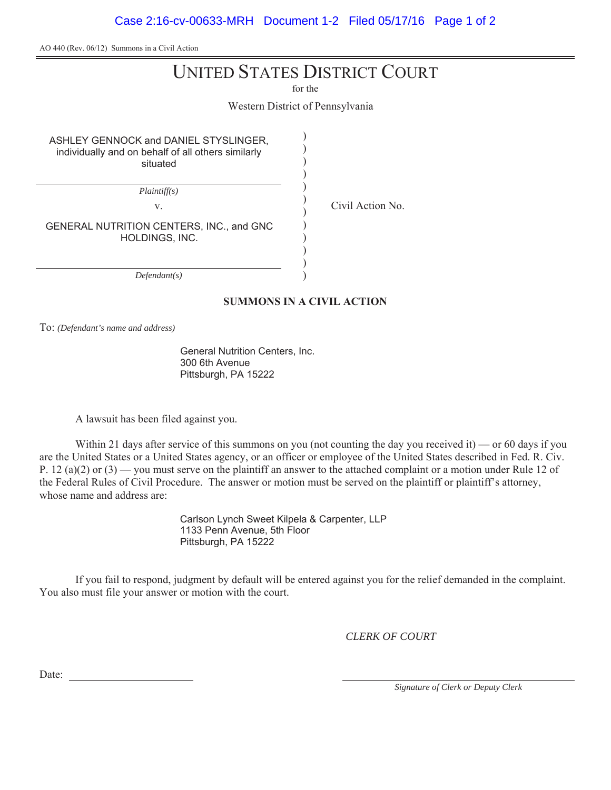Case 2:16-cv-00633-MRH Document 1-2 Filed 05/17/16 Page 1 of 2

AO 440 (Rev. 06/12) Summons in a Civil Action

# UNITED STATES DISTRICT COURT

for the

Western District of Pennsylvania

) ) ) ) ) ) ) ) ) ) ) )

ASHLEY GENNOCK and DANIEL STYSLINGER, individually and on behalf of all others similarly situated

*Plaintiff(s)*

v. Civil Action No.

GENERAL NUTRITION CENTERS, INC., and GNC HOLDINGS, INC.

*Defendant(s)*

### **SUMMONS IN A CIVIL ACTION**

To: *(Defendant's name and address)*

General Nutrition Centers, Inc. 300 6th Avenue Pittsburgh, PA 15222

A lawsuit has been filed against you.

Within 21 days after service of this summons on you (not counting the day you received it) — or 60 days if you are the United States or a United States agency, or an officer or employee of the United States described in Fed. R. Civ. P. 12 (a)(2) or (3) — you must serve on the plaintiff an answer to the attached complaint or a motion under Rule 12 of the Federal Rules of Civil Procedure. The answer or motion must be served on the plaintiff or plaintiff's attorney, whose name and address are:

> Carlson Lynch Sweet Kilpela & Carpenter, LLP 1133 Penn Avenue, 5th Floor Pittsburgh, PA 15222

If you fail to respond, judgment by default will be entered against you for the relief demanded in the complaint. You also must file your answer or motion with the court.

*CLERK OF COURT*

Date:

*Signature of Clerk or Deputy Clerk*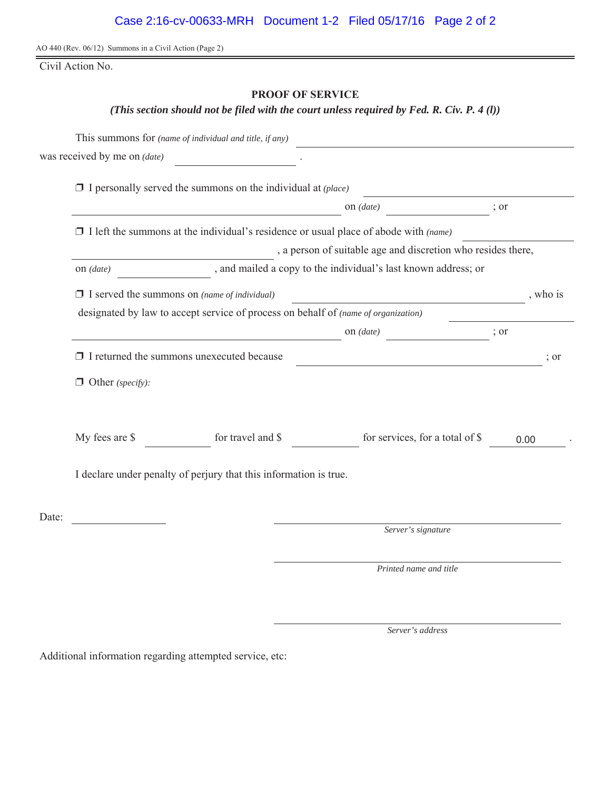AO 440 (Rev. 06/12) Summons in a Civil Action (Page 2)

Civil Action No.

## **PROOF OF SERVICE**

## *(This section should not be filed with the court unless required by Fed. R. Civ. P. 4 (l))*

|       |                                                                                    | This summons for (name of individual and title, if any)                                                                        |                                                                                                                        |          |  |  |  |
|-------|------------------------------------------------------------------------------------|--------------------------------------------------------------------------------------------------------------------------------|------------------------------------------------------------------------------------------------------------------------|----------|--|--|--|
|       | was received by me on (date)                                                       |                                                                                                                                |                                                                                                                        |          |  |  |  |
|       |                                                                                    | $\Box$ I personally served the summons on the individual at (place)                                                            |                                                                                                                        |          |  |  |  |
|       |                                                                                    | $\frac{1}{2}$ or                                                                                                               |                                                                                                                        |          |  |  |  |
|       |                                                                                    | $\Box$ I left the summons at the individual's residence or usual place of abode with (name)                                    |                                                                                                                        |          |  |  |  |
|       |                                                                                    |                                                                                                                                |                                                                                                                        |          |  |  |  |
|       | $on$ (date)                                                                        | , a person of suitable age and discretion who resides there,<br>, and mailed a copy to the individual's last known address; or |                                                                                                                        |          |  |  |  |
|       | $\Box$ I served the summons on (name of individual)                                |                                                                                                                                |                                                                                                                        | , who is |  |  |  |
|       | designated by law to accept service of process on behalf of (name of organization) |                                                                                                                                |                                                                                                                        |          |  |  |  |
|       |                                                                                    | on $(data)$<br>$\frac{1}{2}$ or                                                                                                |                                                                                                                        |          |  |  |  |
|       |                                                                                    | $\Box$ I returned the summons unexecuted because                                                                               | <u> 1989 - Johann Stoff, deutscher Stoffen und der Stoffen und der Stoffen und der Stoffen und der Stoffen und der</u> | ; or     |  |  |  |
|       | $\Box$ Other (specify):                                                            |                                                                                                                                |                                                                                                                        |          |  |  |  |
|       | My fees are \$                                                                     | for travel and \$                                                                                                              | for services, for a total of \$                                                                                        | 0.00     |  |  |  |
|       | I declare under penalty of perjury that this information is true.                  |                                                                                                                                |                                                                                                                        |          |  |  |  |
| Date: |                                                                                    |                                                                                                                                |                                                                                                                        |          |  |  |  |
|       |                                                                                    |                                                                                                                                | Server's signature                                                                                                     |          |  |  |  |
|       |                                                                                    |                                                                                                                                | Printed name and title                                                                                                 |          |  |  |  |

*Server's address*

Additional information regarding attempted service, etc: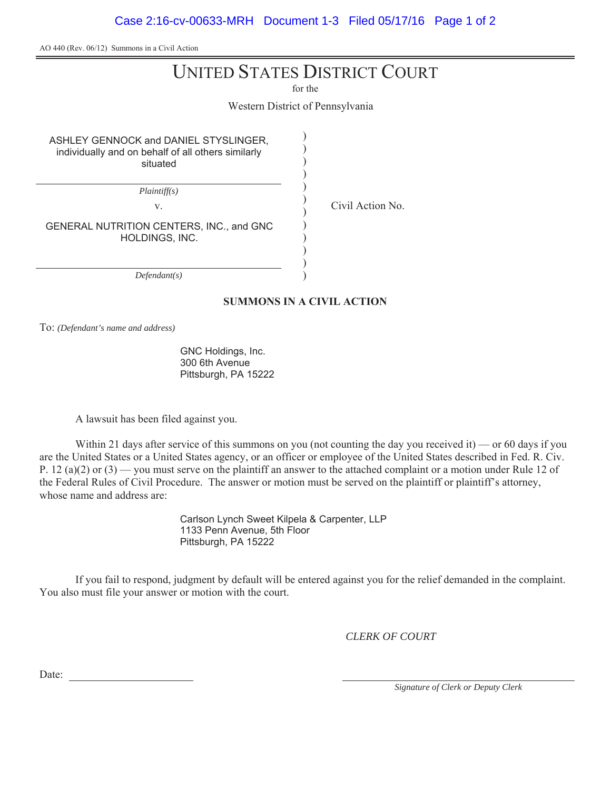Case 2:16-cv-00633-MRH Document 1-3 Filed 05/17/16 Page 1 of 2

AO 440 (Rev. 06/12) Summons in a Civil Action

# UNITED STATES DISTRICT COURT

for the

Western District of Pennsylvania

) ) ) ) ) ) ) ) ) ) ) )

ASHLEY GENNOCK and DANIEL STYSLINGER, individually and on behalf of all others similarly situated

*Plaintiff(s)*

v. Civil Action No.

GENERAL NUTRITION CENTERS, INC., and GNC HOLDINGS, INC.

*Defendant(s)*

### **SUMMONS IN A CIVIL ACTION**

To: *(Defendant's name and address)*

GNC Holdings, Inc. 300 6th Avenue Pittsburgh, PA 15222

A lawsuit has been filed against you.

Within 21 days after service of this summons on you (not counting the day you received it) — or 60 days if you are the United States or a United States agency, or an officer or employee of the United States described in Fed. R. Civ. P. 12 (a)(2) or (3) — you must serve on the plaintiff an answer to the attached complaint or a motion under Rule 12 of the Federal Rules of Civil Procedure. The answer or motion must be served on the plaintiff or plaintiff's attorney, whose name and address are:

> Carlson Lynch Sweet Kilpela & Carpenter, LLP 1133 Penn Avenue, 5th Floor Pittsburgh, PA 15222

If you fail to respond, judgment by default will be entered against you for the relief demanded in the complaint. You also must file your answer or motion with the court.

*CLERK OF COURT*

Date:

*Signature of Clerk or Deputy Clerk*